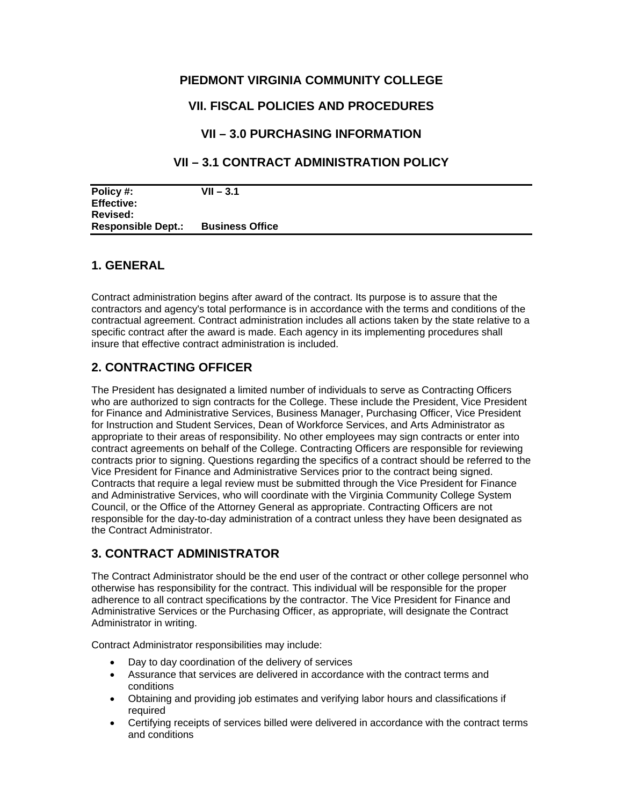# **PIEDMONT VIRGINIA COMMUNITY COLLEGE**

# **VII. FISCAL POLICIES AND PROCEDURES**

# **VII – 3.0 PURCHASING INFORMATION**

# **VII – 3.1 CONTRACT ADMINISTRATION POLICY**

| Policy #:                 | VII – 3.1              |
|---------------------------|------------------------|
| <b>Effective:</b>         |                        |
| Revised:                  |                        |
| <b>Responsible Dept.:</b> | <b>Business Office</b> |

#### **1. GENERAL**

Contract administration begins after award of the contract. Its purpose is to assure that the contractors and agency's total performance is in accordance with the terms and conditions of the contractual agreement. Contract administration includes all actions taken by the state relative to a specific contract after the award is made. Each agency in its implementing procedures shall insure that effective contract administration is included.

## **2. CONTRACTING OFFICER**

The President has designated a limited number of individuals to serve as Contracting Officers who are authorized to sign contracts for the College. These include the President, Vice President for Finance and Administrative Services, Business Manager, Purchasing Officer, Vice President for Instruction and Student Services, Dean of Workforce Services, and Arts Administrator as appropriate to their areas of responsibility. No other employees may sign contracts or enter into contract agreements on behalf of the College. Contracting Officers are responsible for reviewing contracts prior to signing. Questions regarding the specifics of a contract should be referred to the Vice President for Finance and Administrative Services prior to the contract being signed. Contracts that require a legal review must be submitted through the Vice President for Finance and Administrative Services, who will coordinate with the Virginia Community College System Council, or the Office of the Attorney General as appropriate. Contracting Officers are not responsible for the day-to-day administration of a contract unless they have been designated as the Contract Administrator.

## **3. CONTRACT ADMINISTRATOR**

The Contract Administrator should be the end user of the contract or other college personnel who otherwise has responsibility for the contract. This individual will be responsible for the proper adherence to all contract specifications by the contractor. The Vice President for Finance and Administrative Services or the Purchasing Officer, as appropriate, will designate the Contract Administrator in writing.

Contract Administrator responsibilities may include:

- Day to day coordination of the delivery of services
- Assurance that services are delivered in accordance with the contract terms and conditions
- Obtaining and providing job estimates and verifying labor hours and classifications if required
- and conditions • Certifying receipts of services billed were delivered in accordance with the contract terms